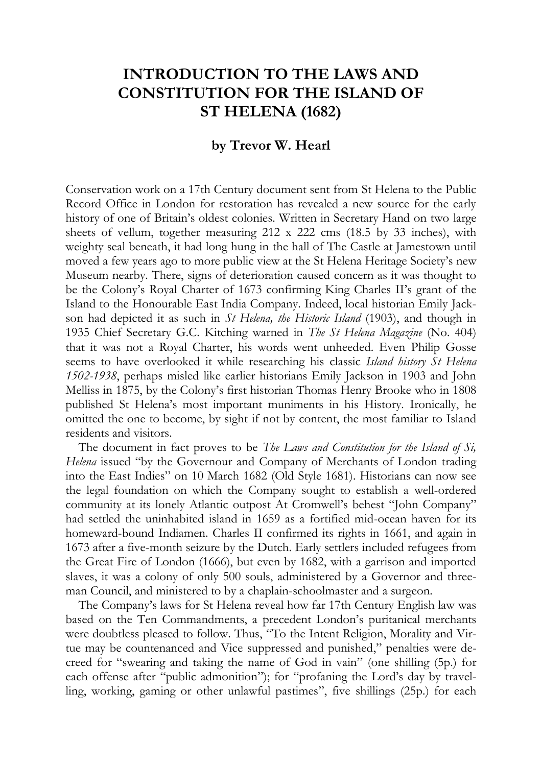## **INTRODUCTION TO THE LAWS AND CONSTITUTION FOR THE ISLAND OF ST HELENA (1682)**

## **by Trevor W. Hearl**

Conservation work on a 17th Century document sent from St Helena to the Public Record Office in London for restoration has revealed a new source for the early history of one of Britain's oldest colonies. Written in Secretary Hand on two large sheets of vellum, together measuring 212 x 222 cms (18.5 by 33 inches), with weighty seal beneath, it had long hung in the hall of The Castle at Jamestown until moved a few years ago to more public view at the St Helena Heritage Society's new Museum nearby. There, signs of deterioration caused concern as it was thought to be the Colony's Royal Charter of 1673 confirming King Charles II's grant of the Island to the Honourable East India Company. Indeed, local historian Emily Jackson had depicted it as such in *St Helena, the Historic Island* (1903), and though in 1935 Chief Secretary G.C. Kitching warned in *The St Helena Magazine* (No. 404) that it was not a Royal Charter, his words went unheeded. Even Philip Gosse seems to have overlooked it while researching his classic *Island history St Helena 1502-1938*, perhaps misled like earlier historians Emily Jackson in 1903 and John Melliss in 1875, by the Colony's first historian Thomas Henry Brooke who in 1808 published St Helena's most important muniments in his History. Ironically, he omitted the one to become, by sight if not by content, the most familiar to Island residents and visitors.

The document in fact proves to be *The Laws and Constitution for the Island of Si, Helena* issued "by the Governour and Company of Merchants of London trading into the East Indies" on 10 March 1682 (Old Style 1681). Historians can now see the legal foundation on which the Company sought to establish a well-ordered community at its lonely Atlantic outpost At Cromwell's behest "John Company" had settled the uninhabited island in 1659 as a fortified mid-ocean haven for its homeward-bound Indiamen. Charles II confirmed its rights in 1661, and again in 1673 after a five-month seizure by the Dutch. Early settlers included refugees from the Great Fire of London (1666), but even by 1682, with a garrison and imported slaves, it was a colony of only 500 souls, administered by a Governor and threeman Council, and ministered to by a chaplain-schoolmaster and a surgeon.

The Company's laws for St Helena reveal how far 17th Century English law was based on the Ten Commandments, a precedent London's puritanical merchants were doubtless pleased to follow. Thus, "To the Intent Religion, Morality and Virtue may be countenanced and Vice suppressed and punished," penalties were decreed for "swearing and taking the name of God in vain" (one shilling (5p.) for each offense after "public admonition"); for "profaning the Lord's day by travelling, working, gaming or other unlawful pastimes", five shillings (25p.) for each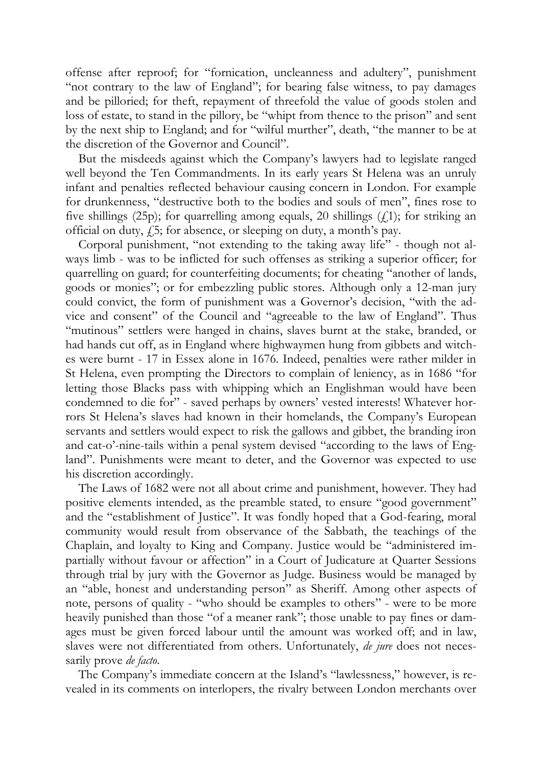offense after reproof; for "fornication, uncleanness and adultery", punishment "not contrary to the law of England"; for bearing false witness, to pay damages and be pilloried; for theft, repayment of threefold the value of goods stolen and loss of estate, to stand in the pillory, be "whipt from thence to the prison" and sent by the next ship to England; and for "wilful murther", death, "the manner to be at the discretion of the Governor and Council".

But the misdeeds against which the Company's lawyers had to legislate ranged well beyond the Ten Commandments. In its early years St Helena was an unruly infant and penalties reflected behaviour causing concern in London. For example for drunkenness, "destructive both to the bodies and souls of men", fines rose to five shillings (25p); for quarrelling among equals, 20 shillings  $(f_1)$ ; for striking an official on duty,  $f_1$ 5; for absence, or sleeping on duty, a month's pay.

Corporal punishment, "not extending to the taking away life" - though not always limb - was to be inflicted for such offenses as striking a superior officer; for quarrelling on guard; for counterfeiting documents; for cheating "another of lands, goods or monies"; or for embezzling public stores. Although only a 12-man jury could convict, the form of punishment was a Governor's decision, "with the advice and consent" of the Council and "agreeable to the law of England". Thus "mutinous" settlers were hanged in chains, slaves burnt at the stake, branded, or had hands cut off, as in England where highwaymen hung from gibbets and witches were burnt - 17 in Essex alone in 1676. Indeed, penalties were rather milder in St Helena, even prompting the Directors to complain of leniency, as in 1686 "for letting those Blacks pass with whipping which an Englishman would have been condemned to die for" - saved perhaps by owners' vested interests! Whatever horrors St Helena's slaves had known in their homelands, the Company's European servants and settlers would expect to risk the gallows and gibbet, the branding iron and cat-o'-nine-tails within a penal system devised "according to the laws of England". Punishments were meant to deter, and the Governor was expected to use his discretion accordingly.

The Laws of 1682 were not all about crime and punishment, however. They had positive elements intended, as the preamble stated, to ensure "good government" and the "establishment of Justice". It was fondly hoped that a God-fearing, moral community would result from observance of the Sabbath, the teachings of the Chaplain, and loyalty to King and Company. Justice would be "administered impartially without favour or affection" in a Court of Judicature at Quarter Sessions through trial by jury with the Governor as Judge. Business would be managed by an "able, honest and understanding person" as Sheriff. Among other aspects of note, persons of quality - "who should be examples to others" - were to be more heavily punished than those "of a meaner rank"; those unable to pay fines or damages must be given forced labour until the amount was worked off; and in law, slaves were not differentiated from others. Unfortunately, *de jure* does not necessarily prove *de facto*.

The Company's immediate concern at the Island's "lawlessness," however, is revealed in its comments on interlopers, the rivalry between London merchants over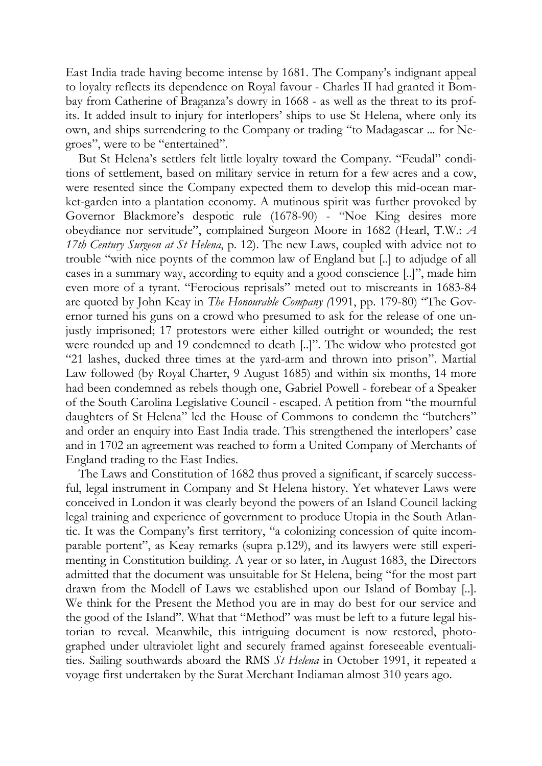East India trade having become intense by 1681. The Company's indignant appeal to loyalty reflects its dependence on Royal favour - Charles II had granted it Bombay from Catherine of Braganza's dowry in 1668 - as well as the threat to its profits. It added insult to injury for interlopers' ships to use St Helena, where only its own, and ships surrendering to the Company or trading "to Madagascar ... for Negroes", were to be "entertained".

But St Helena's settlers felt little loyalty toward the Company. "Feudal" conditions of settlement, based on military service in return for a few acres and a cow, were resented since the Company expected them to develop this mid-ocean market-garden into a plantation economy. A mutinous spirit was further provoked by Governor Blackmore's despotic rule (1678-90) - "Noe King desires more obeydiance nor servitude", complained Surgeon Moore in 1682 (Hearl, T.W.: *A 17th Century Surgeon at St Helena*, p. 12). The new Laws, coupled with advice not to trouble "with nice poynts of the common law of England but [..] to adjudge of all cases in a summary way, according to equity and a good conscience [..]", made him even more of a tyrant. "Ferocious reprisals" meted out to miscreants in 1683-84 are quoted by John Keay in *The Honourable Company (*1991, pp. 179-80) "The Governor turned his guns on a crowd who presumed to ask for the release of one unjustly imprisoned; 17 protestors were either killed outright or wounded; the rest were rounded up and 19 condemned to death [..]". The widow who protested got "21 lashes, ducked three times at the yard-arm and thrown into prison". Martial Law followed (by Royal Charter, 9 August 1685) and within six months, 14 more had been condemned as rebels though one, Gabriel Powell - forebear of a Speaker of the South Carolina Legislative Council - escaped. A petition from "the mournful daughters of St Helena" led the House of Commons to condemn the "butchers" and order an enquiry into East India trade. This strengthened the interlopers' case and in 1702 an agreement was reached to form a United Company of Merchants of England trading to the East Indies.

The Laws and Constitution of 1682 thus proved a significant, if scarcely successful, legal instrument in Company and St Helena history. Yet whatever Laws were conceived in London it was clearly beyond the powers of an Island Council lacking legal training and experience of government to produce Utopia in the South Atlantic. It was the Company's first territory, "a colonizing concession of quite incomparable portent", as Keay remarks (supra p.129), and its lawyers were still experimenting in Constitution building. A year or so later, in August 1683, the Directors admitted that the document was unsuitable for St Helena, being "for the most part drawn from the Modell of Laws we established upon our Island of Bombay [..]. We think for the Present the Method you are in may do best for our service and the good of the Island". What that "Method" was must be left to a future legal historian to reveal. Meanwhile, this intriguing document is now restored, photographed under ultraviolet light and securely framed against foreseeable eventualities. Sailing southwards aboard the RMS *St Helena* in October 1991, it repeated a voyage first undertaken by the Surat Merchant Indiaman almost 310 years ago.